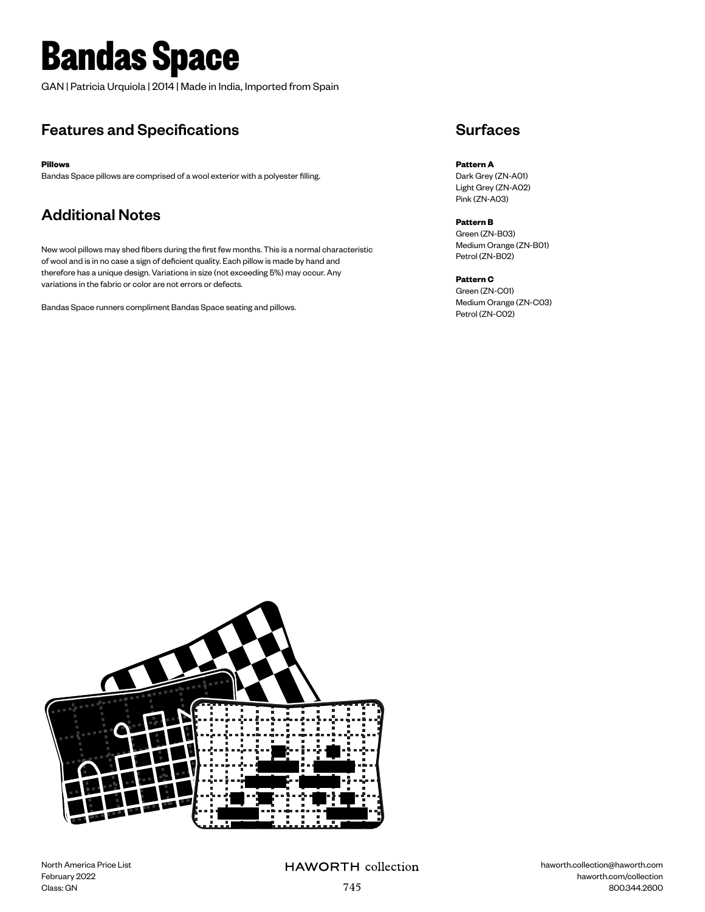# **Bandas Space**

GAN | Patricia Urquiola | 2014 | Made in India, Imported from Spain

## Features and Specifications

**Pillows**

Bandas Space pillows are comprised of a wool exterior with a polyester filling.

## Additional Notes

New wool pillows may shed fibers during the first few months. This is a normal characteristic of wool and is in no case a sign of deficient quality. Each pillow is made by hand and therefore has a unique design. Variations in size (not exceeding 5%) may occur. Any variations in the fabric or color are not errors or defects.

Bandas Space runners compliment Bandas Space seating and pillows.

### **Surfaces**

**Pattern A** Dark Grey (ZN-A01) Light Grey (ZN-A02) Pink (ZN-A03)

**Pattern B** Green (ZN-B03) Medium Orange (ZN-B01) Petrol (ZN-B02)

### **Pattern C**

Green (ZN-C01) Medium Orange (ZN-C03) Petrol (ZN-C02)



North America Price List February 2022 Class: GN